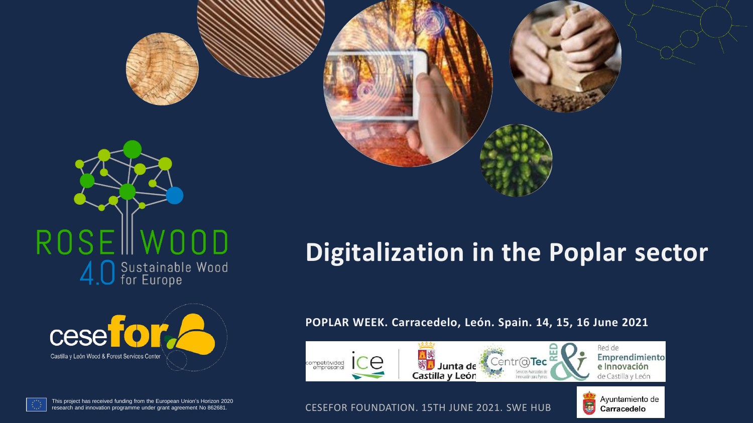







# **Digitalization in the Poplar sector**

#### **POPLAR WEEK. Carracedelo, León. Spain. 14, 15, 16 June 2021**





This project has received funding from the European Union's Horizon 2020<br>research and innovation programme under grant agreement No 862681.

**CESEFOR FOUNDATION. 15TH JUNE 2021. SWE HUB**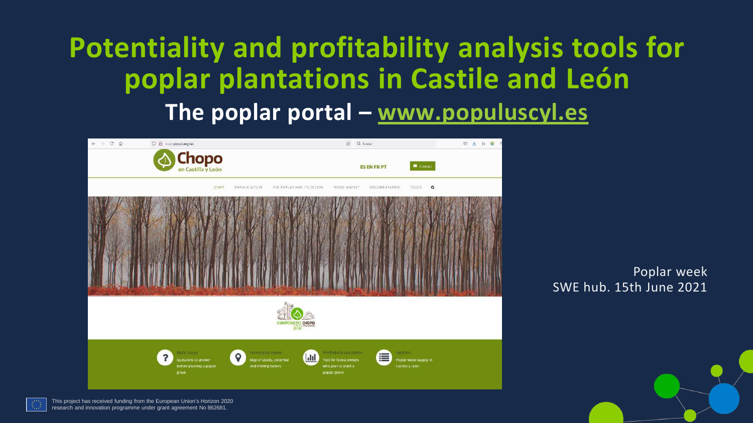# **Potentiality and profitability analysis tools for poplar plantations in Castile and León The poplar portal – [www.populuscyl.es](http://www.populuscyl.es/)**





This project has received funding from the European Union's Horizon 2020 research and innovation programme under grant agreement No 862681.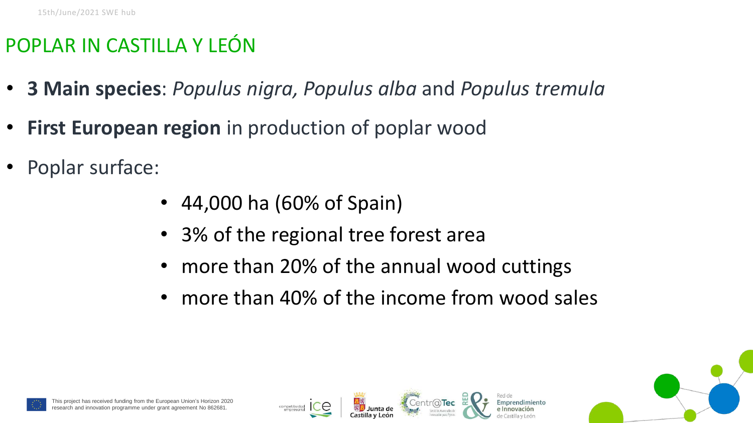## POPLAR IN CASTILLA Y LEÓN

- **3 Main species**: *Populus nigra, Populus alba* and *Populus tremula*
- **First European region** in production of poplar wood
- Poplar surface:
	- 44,000 ha (60% of Spain)
	- 3% of the regional tree forest area
	- more than 20% of the annual wood cuttings
	- more than 40% of the income from wood sales



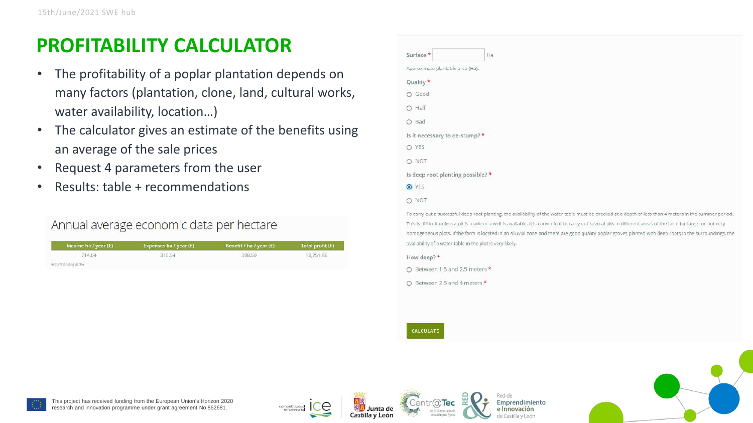## **PROFITABILITY CALCULATOR**

- The profitability of a poplar plantation depends on many factors (plantation, clone, land, cultural works, water availability, location…)
- The calculator gives an estimate of the benefits using an average of the sale prices
- Request 4 parameters from the user
- Results: table + recommendations

#### Annual average economic data per hectare

| Income ha / year $(E)$                                            | Expenses ha / year $(E)$ | Benefit / ha / year $(E)$ | Total profit $(E)$ |
|-------------------------------------------------------------------|--------------------------|---------------------------|--------------------|
| 714.04<br>a shekarar 2002 na San Nobel a                          | 315.54                   | 398.50                    | 12,751.96          |
| With financing at 3%<br>ASHARAT MATATAGAN SA TAGAMA SA KATALOG AY |                          |                           |                    |

| Surface *<br>Ha                   |
|-----------------------------------|
| Approximate plantable area (Ha):  |
| Quality *                         |
| Good<br>$\circ$                   |
| Half<br>$\circ$                   |
| Bad<br>$\circ$                    |
| Is it necessary to de-stump?*     |
| O YES                             |
| O NOT                             |
| Is deep root planting possible? * |
| O YES                             |
| <b>NOT</b><br>$\circ$             |

To carry out a successful deep root planting, the availability of the water table must be checked at a depth of less than 4 meters in the summer period This is difficult unless a pit is made or a well is available. It is convenient to carry out several pits in different areas of the farm for larger or not very homogeneous plots. If the farm is located in an alluvial zone and there are good quality poplar groves planted with deep roots in the surroundings, the availability of a water table in the plot is very likely.

How deep? \*

○ Between 1.5 and 2.5 meters \*

O Between 2.5 and 4 meters \*

CALCULATE







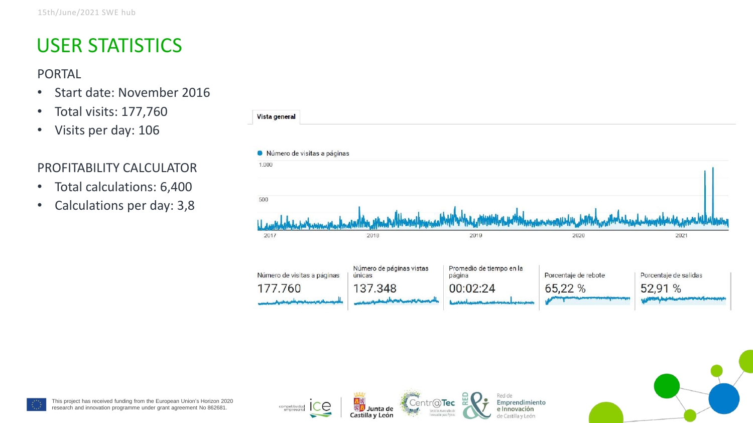## USER STATISTICS

PORTAL

- Start date: November 2016
- Total visits: 177,760
- Visits per day: 106

#### PROFITABILITY CALCULATOR

- Total calculations: 6,400
- Calculations per day: 3,8





competitividad<br>empresaria

Junta de

Castilla y León

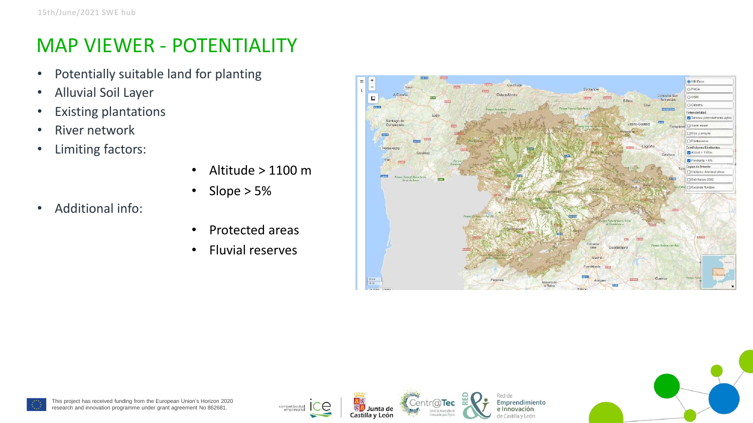## MAP VIEWER - POTENTIALITY

- Potentially suitable land for planting
- Alluvial Soil Layer
- Existing plantations
- River network
- Limiting factors:
- Altitude  $> 1100$  m
- Slope > 5%

• Additional info:

- Protected areas
- Fluvial reserves